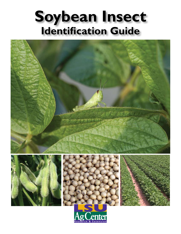## **Soybean Insect Identification Guide**

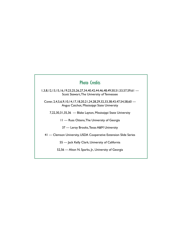## Photo Credits

1,3,8,12,13,15,16,19,23,25,26,27,34,40,42,44,46,48,49,50,51,53,57,59,61 — Scott Stewart, The University of Tennessee

Cover, 2,4,5,6,9,10,14,17,18,20,21,24,28,29,32,33,38,43,47,54,58,60 — Angus Catchot, Mississippi State University

7,22,30,31,35,36 — Blake Layton, Mississippi State University

11 — Russ Ottens, The University of Georgia

37 — Leroy Brooks, Texas A&M University

41 — Clemson University, USDA Cooperative Extension Slide Series

55 — Jack Kelly Clark, University of California

52,56 — Alton N. Sparks, Jr., University of Georgia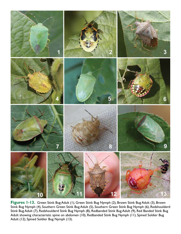

**Figures 1-13.** Green Stink Bug Adult (1), Green Stink Bug Nymph (2), Brown Stink Bug Adult (3), Brown Stink Bug Nymph (4), Southern Green Stink Bug Adult (5), Southern Green Stink Bug Nymph (6), Redshoulderd Stink Bug Adult (7), Redshoulderd Stink Bug Nymph (8), Redbanded Stink Bug Adult (9), Red Banded Stink Bug Adult showing characteristic spine on abdomen (10), Redbanded Stink Bug Nymph (11), Spined Soldier Bug Adult (12), Spined Soldier Bug Nymph (13).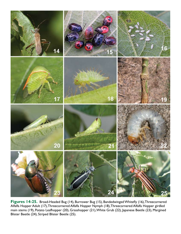

**Figures 14-25.** Broad-Headed Bug (14), Burrower Bug (15), Bandedwinged Whitefly (16), Threecornered Alfalfa Hopper Adult (17), Threecornered Alfalfa Hopper Nymph (18), Threecornered Alfalfa Hopper girdled main stems (19), Potato Leafhopper (20), Grasshopper (21), White Grub (22), Japanese Beetle (23), Margined Blister Beetle (24), Striped Blister Beetle (25).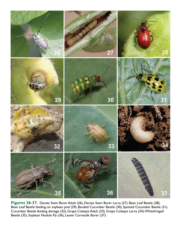

**Figures 26-37.** Dectes Stem Borer Adult (26), Dectes Stem Borer Larva (27), Bean Leaf Beetle (28), Bean Leaf Beetle feeding on soybean pod (29), Banded Cucumber Beetle (30), Spotted Cucumber Beetle (31), Cucumber Beetle feeding damage (32), Grape Colaspis Adult (33), Grape Colaspis Larva (34), Whitefringed Beetle (35), Soybean Nodule Fly (36), Lesser Cornstalk Borer (37).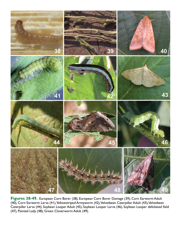

**Figures 38-49.** European Corn Borer (38), European Corn Borer Damage (39), Corn Earworm Adult (40), Corn Earworm Larva (41), Yellowstriped Armyworm (42), Velvetbean Caterpillar Adult (43), Velvetbean Caterpillar Larva (44), Soybean Looper Adult (45), Soybean Looper Larva (46), Soybean Looper defoliated field (47), Painted Lady (48), Green Cloverworm Adult (49).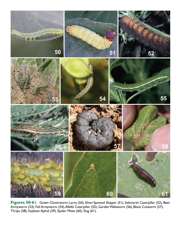

**Figures 50-61.** Green Cloverworm Larva (50), Silver-Spotted Skipper (51), Saltmarsh Caterpillar (52), Beet Armyworm (53), Fall Armyworm (54), Alfalfa Caterpillar (55), Garden Webworm (56), Black Cutworm (57), Thrips (58), Soybean Aphid (59), Spider Mites (60), Slug (61).